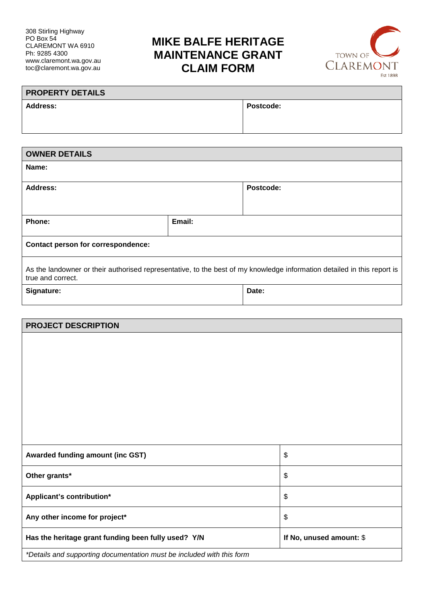# **MIKE BALFE HERITAGE MAINTENANCE GRANT CLAIM FORM**



| <b>PROPERTY DETAILS</b> |           |  |  |
|-------------------------|-----------|--|--|
| <b>Address:</b>         | Postcode: |  |  |
|                         |           |  |  |

| <b>OWNER DETAILS</b>                                                                                                                         |        |           |  |  |
|----------------------------------------------------------------------------------------------------------------------------------------------|--------|-----------|--|--|
| Name:                                                                                                                                        |        |           |  |  |
| <b>Address:</b>                                                                                                                              |        | Postcode: |  |  |
| Phone:                                                                                                                                       | Email: |           |  |  |
| Contact person for correspondence:                                                                                                           |        |           |  |  |
| As the landowner or their authorised representative, to the best of my knowledge information detailed in this report is<br>true and correct. |        |           |  |  |
| Signature:                                                                                                                                   |        | Date:     |  |  |

| <b>PROJECT DESCRIPTION</b>                                            |                          |  |
|-----------------------------------------------------------------------|--------------------------|--|
|                                                                       |                          |  |
|                                                                       |                          |  |
|                                                                       |                          |  |
|                                                                       |                          |  |
|                                                                       |                          |  |
|                                                                       |                          |  |
|                                                                       |                          |  |
| Awarded funding amount (inc GST)                                      | \$                       |  |
| Other grants*                                                         | \$                       |  |
| Applicant's contribution*                                             | \$                       |  |
| Any other income for project*                                         | \$                       |  |
| Has the heritage grant funding been fully used? Y/N                   | If No, unused amount: \$ |  |
| *Details and supporting documentation must be included with this form |                          |  |